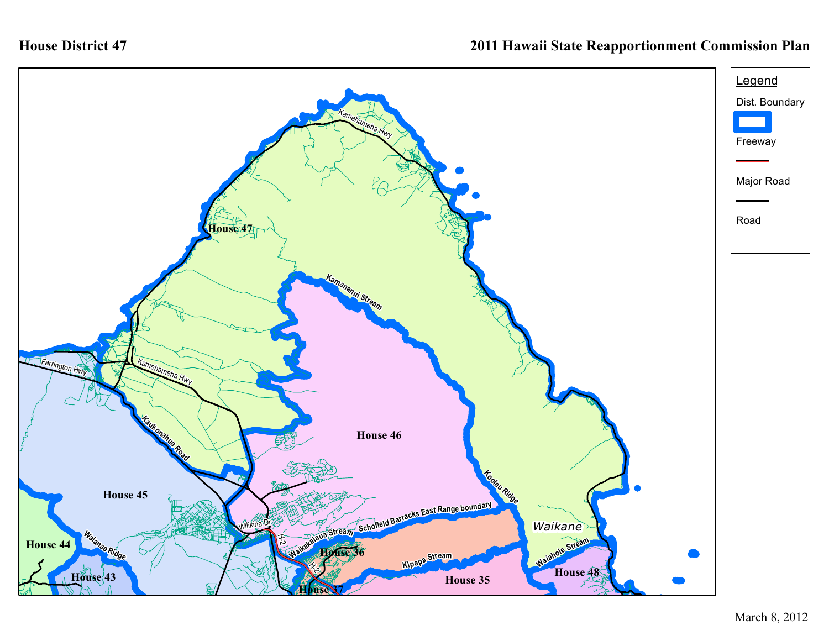